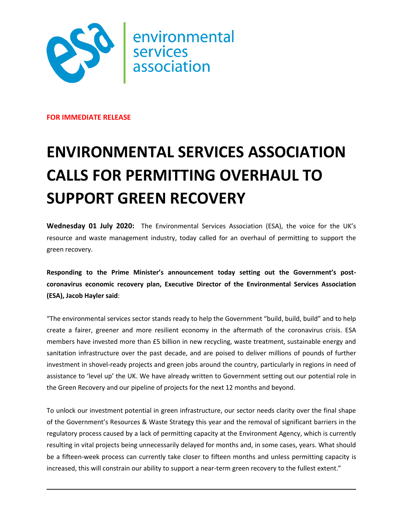

**FOR IMMEDIATE RELEASE**

# **ENVIRONMENTAL SERVICES ASSOCIATION CALLS FOR PERMITTING OVERHAUL TO SUPPORT GREEN RECOVERY**

**Wednesday 01 July 2020:** The Environmental Services Association (ESA), the voice for the UK's resource and waste management industry, today called for an overhaul of permitting to support the green recovery.

**Responding to the Prime Minister's announcement today setting out the Government's postcoronavirus economic recovery plan, Executive Director of the Environmental Services Association (ESA), Jacob Hayler said**:

"The environmental services sector stands ready to help the Government "build, build, build" and to help create a fairer, greener and more resilient economy in the aftermath of the coronavirus crisis. ESA members have invested more than £5 billion in new recycling, waste treatment, sustainable energy and sanitation infrastructure over the past decade, and are poised to deliver millions of pounds of further investment in shovel-ready projects and green jobs around the country, particularly in regions in need of assistance to 'level up' the UK. We have already written to Government setting out our potential role in the Green Recovery and our pipeline of projects for the next 12 months and beyond.

To unlock our investment potential in green infrastructure, our sector needs clarity over the final shape of the Government's Resources & Waste Strategy this year and the removal of significant barriers in the regulatory process caused by a lack of permitting capacity at the Environment Agency, which is currently resulting in vital projects being unnecessarily delayed for months and, in some cases, years. What should be a fifteen-week process can currently take closer to fifteen months and unless permitting capacity is increased, this will constrain our ability to support a near-term green recovery to the fullest extent."